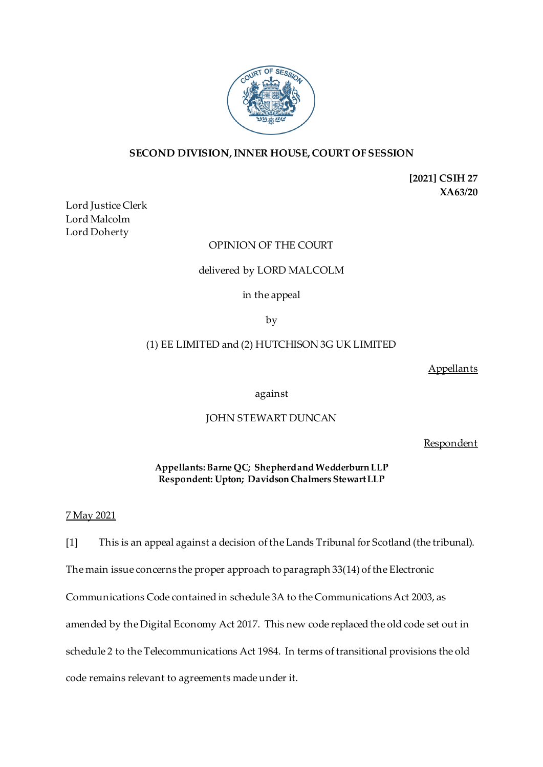

# **SECOND DIVISION, INNER HOUSE, COURT OF SESSION**

**[2021] CSIH 27 XA63/20**

Lord Justice Clerk Lord Malcolm Lord Doherty

# OPINION OF THE COURT

## delivered by LORD MALCOLM

in the appeal

by

# (1) EE LIMITED and (2) HUTCHISON 3G UK LIMITED

**Appellants** 

against

## JOHN STEWART DUNCAN

**Respondent** 

**Appellants:Barne QC; Shepherd and Wedderburn LLP Respondent: Upton; Davidson Chalmers Stewart LLP**

## 7 May 2021

[1] This is an appeal against a decision of the Lands Tribunal for Scotland (the tribunal).

The main issue concerns the proper approach to paragraph 33(14) of the Electronic

Communications Code contained in schedule 3A to the Communications Act 2003, as

amended by the Digital Economy Act 2017. This new code replaced the old code set out in

schedule 2 to the Telecommunications Act 1984. In terms of transitional provisions the old

code remains relevant to agreements made under it.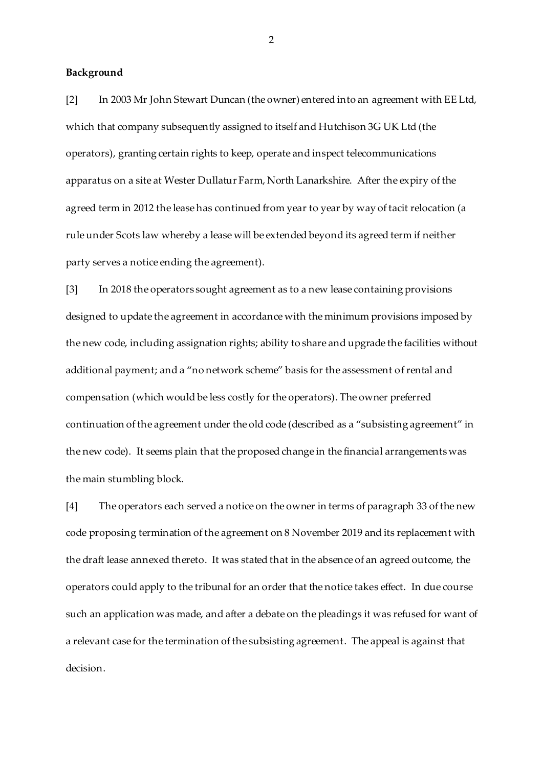### **Background**

[2] In 2003 Mr John Stewart Duncan (the owner) entered into an agreement with EE Ltd, which that company subsequently assigned to itself and Hutchison 3G UK Ltd (the operators), granting certain rights to keep, operate and inspect telecommunications apparatus on a site at Wester Dullatur Farm, North Lanarkshire. After the expiry of the agreed term in 2012 the lease has continued from year to year by way of tacit relocation (a rule under Scots law whereby a lease will be extended beyond its agreed term if neither party serves a notice ending the agreement).

[3] In 2018 the operators sought agreement as to a new lease containing provisions designed to update the agreement in accordance with the minimum provisions imposed by the new code, including assignation rights; ability to share and upgrade the facilities without additional payment; and a "no network scheme" basis for the assessment of rental and compensation (which would be less costly for the operators). The owner preferred continuation of the agreement under the old code (described as a "subsisting agreement" in the new code). It seems plain that the proposed change in the financial arrangements was the main stumbling block.

[4] The operators each served a notice on the owner in terms of paragraph 33 of the new code proposing termination of the agreement on 8 November 2019 and its replacement with the draft lease annexed thereto. It was stated that in the absence of an agreed outcome, the operators could apply to the tribunal for an order that the notice takes effect. In due course such an application was made, and after a debate on the pleadings it was refused for want of a relevant case for the termination of the subsisting agreement. The appeal is against that decision.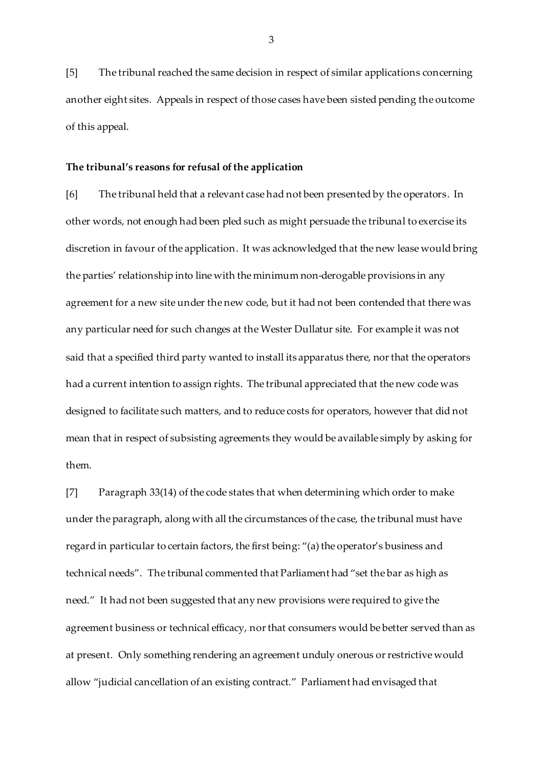[5] The tribunal reached the same decision in respect of similar applications concerning another eight sites. Appeals in respect of those cases have been sisted pending the outcome of this appeal.

#### **The tribunal's reasons for refusal of the application**

[6] The tribunal held that a relevant case had not been presented by the operators. In other words, not enough had been pled such as might persuade the tribunal to exercise its discretion in favour of the application. It was acknowledged that the new lease would bring the parties' relationship into line with the minimum non-derogable provisions in any agreement for a new site under the new code, but it had not been contended that there was any particular need for such changes at the Wester Dullatur site. For example it was not said that a specified third party wanted to install its apparatus there, nor that the operators had a current intention to assign rights. The tribunal appreciated that the new code was designed to facilitate such matters, and to reduce costs for operators, however that did not mean that in respect of subsisting agreements they would be available simply by asking for them.

[7] Paragraph 33(14) of the code states that when determining which order to make under the paragraph, along with all the circumstances of the case, the tribunal must have regard in particular to certain factors, the first being: "(a) the operator's business and technical needs". The tribunal commented that Parliament had "set the bar as high as need." It had not been suggested that any new provisions were required to give the agreement business or technical efficacy, nor that consumers would be better served than as at present. Only something rendering an agreement unduly onerous or restrictive would allow "judicial cancellation of an existing contract." Parliament had envisaged that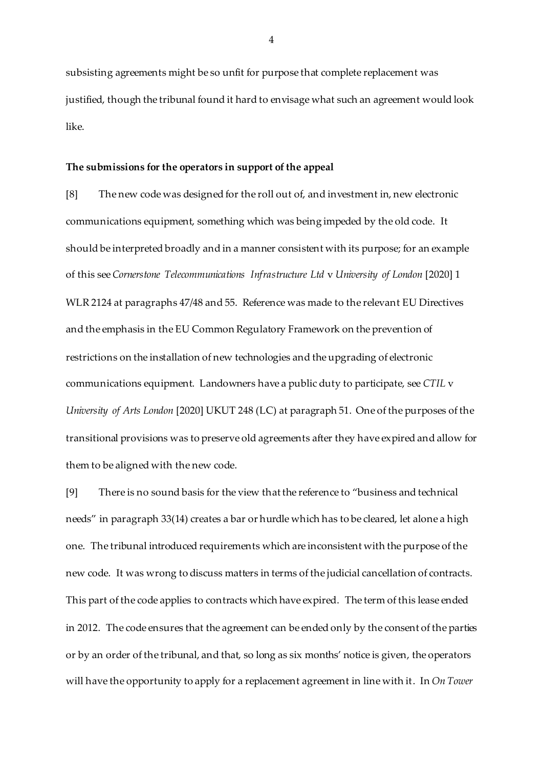subsisting agreements might be so unfit for purpose that complete replacement was justified, though the tribunal found it hard to envisage what such an agreement would look like.

### **The submissions for the operators in support of the appeal**

[8] The new code was designed for the roll out of, and investment in, new electronic communications equipment, something which was being impeded by the old code. It should be interpreted broadly and in a manner consistent with its purpose; for an example of this see *Cornerstone Telecommunications Infrastructure Ltd* v *University of London* [2020] 1 WLR 2124 at paragraphs 47/48 and 55. Reference was made to the relevant EU Directives and the emphasis in the EU Common Regulatory Framework on the prevention of restrictions on the installation of new technologies and the upgrading of electronic communications equipment. Landowners have a public duty to participate, see *CTIL* v *University of Arts London* [2020] UKUT 248 (LC) at paragraph 51. One of the purposes of the transitional provisions was to preserve old agreements after they have expired and allow for them to be aligned with the new code.

[9] There is no sound basis for the view that the reference to "business and technical needs" in paragraph 33(14) creates a bar or hurdle which has to be cleared, let alone a high one. The tribunal introduced requirements which are inconsistent with the purpose of the new code. It was wrong to discuss matters in terms of the judicial cancellation of contracts. This part of the code applies to contracts which have expired. The term of this lease ended in 2012. The code ensures that the agreement can be ended only by the consent of the parties or by an order of the tribunal, and that, so long as six months' notice is given, the operators will have the opportunity to apply for a replacement agreement in line with it. In *On Tower*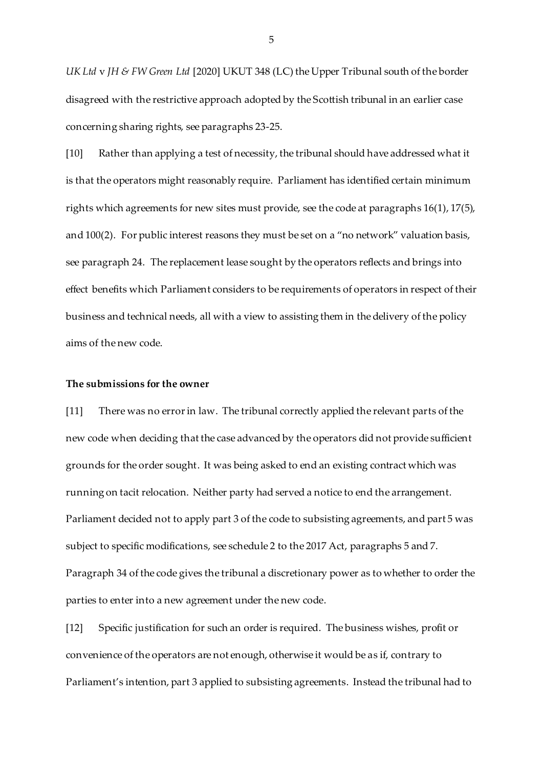*UK Ltd* v *JH & FW Green Ltd* [2020] UKUT 348 (LC) the Upper Tribunal south of the border disagreed with the restrictive approach adopted by the Scottish tribunal in an earlier case concerning sharing rights, see paragraphs 23-25.

[10] Rather than applying a test of necessity, the tribunal should have addressed what it is that the operators might reasonably require. Parliament has identified certain minimum rights which agreements for new sites must provide, see the code at paragraphs 16(1), 17(5), and 100(2). For public interest reasons they must be set on a "no network" valuation basis, see paragraph 24. The replacement lease sought by the operators reflects and brings into effect benefits which Parliament considers to be requirements of operators in respect of their business and technical needs, all with a view to assisting them in the delivery of the policy aims of the new code.

### **The submissions for the owner**

[11] There was no error in law. The tribunal correctly applied the relevant parts of the new code when deciding that the case advanced by the operators did not provide sufficient grounds for the order sought. It was being asked to end an existing contract which was running on tacit relocation. Neither party had served a notice to end the arrangement. Parliament decided not to apply part 3 of the code to subsisting agreements, and part 5 was subject to specific modifications, see schedule 2 to the 2017 Act, paragraphs 5 and 7. Paragraph 34 of the code gives the tribunal a discretionary power as to whether to order the parties to enter into a new agreement under the new code.

[12] Specific justification for such an order is required. The business wishes, profit or convenience of the operators are not enough, otherwise it would be as if, contrary to Parliament's intention, part 3 applied to subsisting agreements. Instead the tribunal had to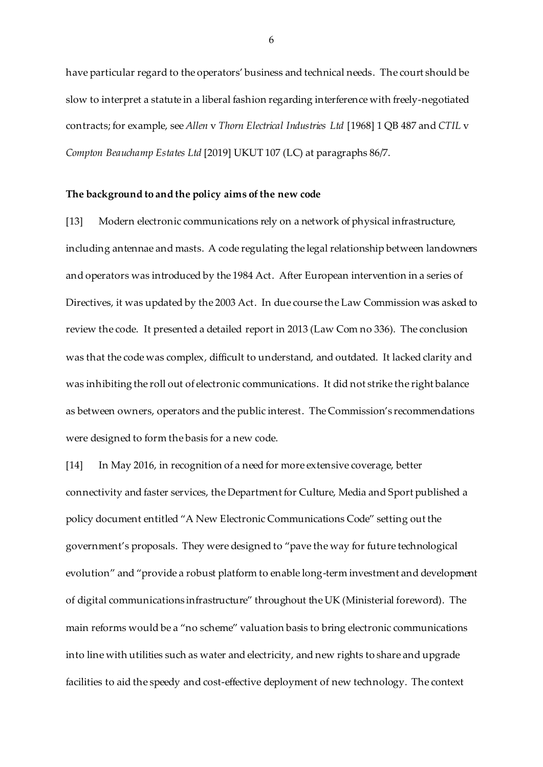have particular regard to the operators' business and technical needs. The court should be slow to interpret a statute in a liberal fashion regarding interference with freely-negotiated contracts; for example, see *Allen* v *Thorn Electrical Industries Ltd* [1968] 1 QB 487 and *CTIL* v *Compton Beauchamp Estates Ltd* [2019] UKUT 107 (LC) at paragraphs 86/7.

#### **The background to and the policy aims of the new code**

[13] Modern electronic communications rely on a network of physical infrastructure, including antennae and masts. A code regulating the legal relationship between landowners and operators was introduced by the 1984 Act. After European intervention in a series of Directives, it was updated by the 2003 Act. In due course the Law Commission was asked to review the code. It presented a detailed report in 2013 (Law Com no 336). The conclusion was that the code was complex, difficult to understand, and outdated. It lacked clarity and was inhibiting the roll out of electronic communications. It did not strike the right balance as between owners, operators and the public interest. The Commission's recommendations were designed to form the basis for a new code.

[14] In May 2016, in recognition of a need for more extensive coverage, better connectivity and faster services, the Department for Culture, Media and Sport published a policy document entitled "A New Electronic Communications Code" setting out the government's proposals. They were designed to "pave the way for future technological evolution" and "provide a robust platform to enable long-term investment and development of digital communications infrastructure" throughout the UK (Ministerial foreword). The main reforms would be a "no scheme" valuation basis to bring electronic communications into line with utilities such as water and electricity, and new rights to share and upgrade facilities to aid the speedy and cost-effective deployment of new technology. The context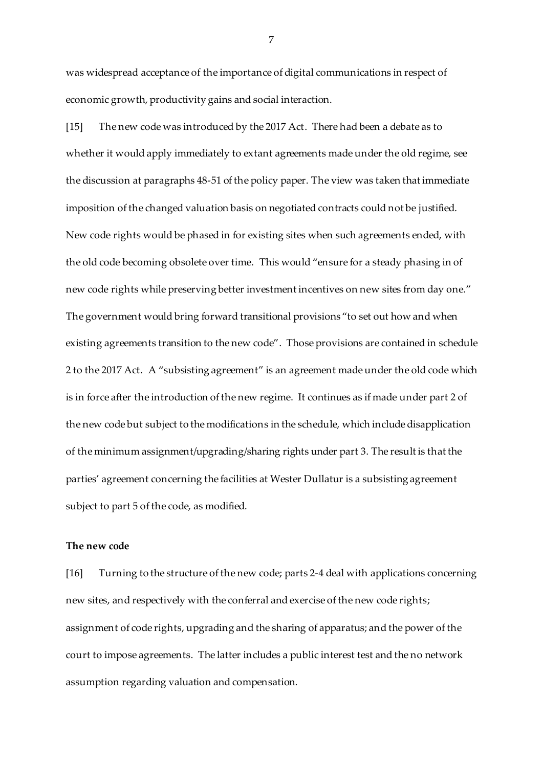was widespread acceptance of the importance of digital communications in respect of economic growth, productivity gains and social interaction.

[15] The new code was introduced by the 2017 Act. There had been a debate as to whether it would apply immediately to extant agreements made under the old regime, see the discussion at paragraphs 48-51 of the policy paper. The view was taken that immediate imposition of the changed valuation basis on negotiated contracts could not be justified. New code rights would be phased in for existing sites when such agreements ended, with the old code becoming obsolete over time. This would "ensure for a steady phasing in of new code rights while preserving better investment incentives on new sites from day one." The government would bring forward transitional provisions "to set out how and when existing agreements transition to the new code". Those provisions are contained in schedule 2 to the 2017 Act. A "subsisting agreement" is an agreement made under the old code which is in force after the introduction of the new regime. It continues as if made under part 2 of the new code but subject to the modifications in the schedule, which include disapplication of the minimum assignment/upgrading/sharing rights under part 3. The result is that the parties' agreement concerning the facilities at Wester Dullatur is a subsisting agreement subject to part 5 of the code, as modified.

## **The new code**

[16] Turning to the structure of the new code; parts 2-4 deal with applications concerning new sites, and respectively with the conferral and exercise of the new code rights; assignment of code rights, upgrading and the sharing of apparatus; and the power of the court to impose agreements. The latter includes a public interest test and the no network assumption regarding valuation and compensation.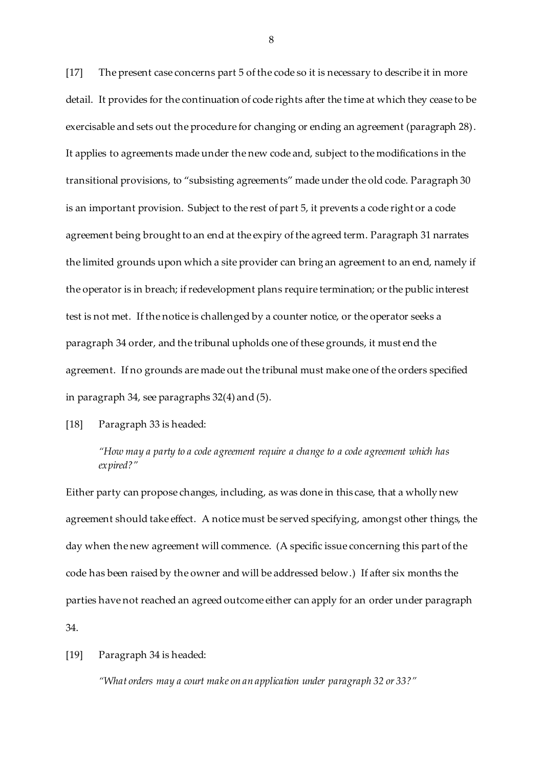[17] The present case concerns part 5 of the code so it is necessary to describe it in more detail. It provides for the continuation of code rights after the time at which they cease to be exercisable and sets out the procedure for changing or ending an agreement (paragraph 28). It applies to agreements made under the new code and, subject to the modifications in the transitional provisions, to "subsisting agreements" made under the old code. Paragraph 30 is an important provision. Subject to the rest of part 5, it prevents a code right or a code agreement being brought to an end at the expiry of the agreed term. Paragraph 31 narrates the limited grounds upon which a site provider can bring an agreement to an end, namely if the operator is in breach; if redevelopment plans require termination; or the public interest test is not met. If the notice is challenged by a counter notice, or the operator seeks a paragraph 34 order, and the tribunal upholds one of these grounds, it must end the agreement. If no grounds are made out the tribunal must make one of the orders specified in paragraph 34, see paragraphs 32(4) and (5).

[18] Paragraph 33 is headed:

*"How may a party to a code agreement require a change to a code agreement which has expired?"* 

Either party can propose changes, including, as was done in this case, that a wholly new agreement should take effect. A notice must be served specifying, amongst other things, the day when the new agreement will commence. (A specific issue concerning this part of the code has been raised by the owner and will be addressed below.) If after six months the parties have not reached an agreed outcome either can apply for an order under paragraph 34.

[19] Paragraph 34 is headed:

*"What orders may a court make on an application under paragraph 32 or 33?"*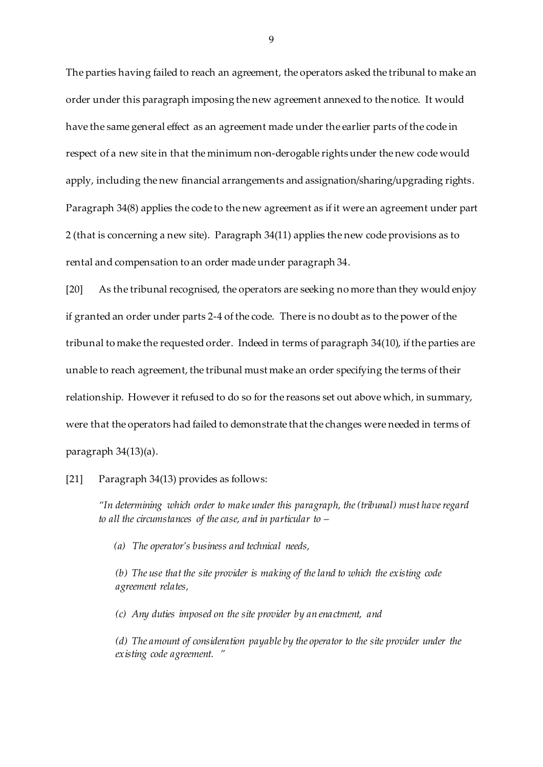The parties having failed to reach an agreement, the operators asked the tribunal to make an order under this paragraph imposing the new agreement annexed to the notice. It would have the same general effect as an agreement made under the earlier parts of the code in respect of a new site in that the minimum non-derogable rights under the new code would apply, including the new financial arrangements and assignation/sharing/upgrading rights. Paragraph 34(8) applies the code to the new agreement as if it were an agreement under part 2 (that is concerning a new site). Paragraph 34(11) applies the new code provisions as to rental and compensation to an order made under paragraph 34.

[20] As the tribunal recognised, the operators are seeking no more than they would enjoy if granted an order under parts 2-4 of the code. There is no doubt as to the power of the tribunal to make the requested order. Indeed in terms of paragraph 34(10), if the parties are unable to reach agreement, the tribunal must make an order specifying the terms of their relationship. However it refused to do so for the reasons set out above which, in summary, were that the operators had failed to demonstrate that the changes were needed in terms of paragraph 34(13)(a).

[21] Paragraph 34(13) provides as follows:

*"In determining which order to make under this paragraph, the (tribunal) must have regard to all the circumstances of the case, and in particular to –*

*(a) The operator's business and technical needs,*

*(b) The use that the site provider is making of the land to which the existing code agreement relates,*

*(c) Any duties imposed on the site provider by an enactment, and*

*(d) The amount of consideration payable by the operator to the site provider under the existing code agreement. "*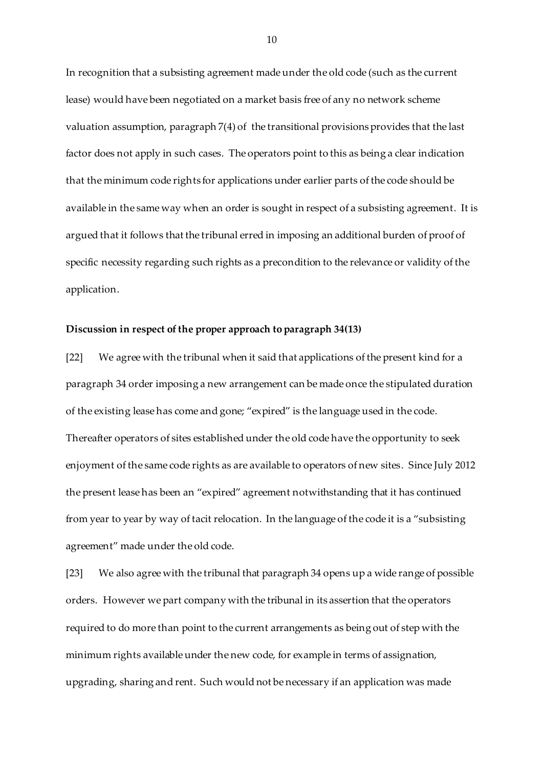In recognition that a subsisting agreement made under the old code (such as the current lease) would have been negotiated on a market basis free of any no network scheme valuation assumption, paragraph 7(4) of the transitional provisions provides that the last factor does not apply in such cases. The operators point to this as being a clear indication that the minimum code rights for applications under earlier parts of the code should be available in the same way when an order is sought in respect of a subsisting agreement. It is argued that it follows that the tribunal erred in imposing an additional burden of proof of specific necessity regarding such rights as a precondition to the relevance or validity of the application.

### **Discussion in respect of the proper approach to paragraph 34(13)**

[22] We agree with the tribunal when it said that applications of the present kind for a paragraph 34 order imposing a new arrangement can be made once the stipulated duration of the existing lease has come and gone; "expired" is the language used in the code. Thereafter operators of sites established under the old code have the opportunity to seek enjoyment of the same code rights as are available to operators of new sites. Since July 2012 the present lease has been an "expired" agreement notwithstanding that it has continued from year to year by way of tacit relocation. In the language of the code it is a "subsisting agreement" made under the old code.

[23] We also agree with the tribunal that paragraph 34 opens up a wide range of possible orders. However we part company with the tribunal in its assertion that the operators required to do more than point to the current arrangements as being out of step with the minimum rights available under the new code, for example in terms of assignation, upgrading, sharing and rent. Such would not be necessary if an application was made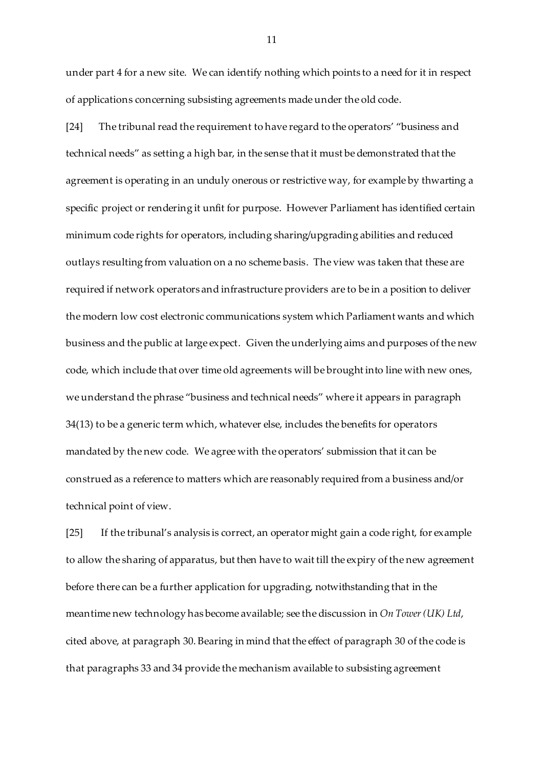under part 4 for a new site. We can identify nothing which points to a need for it in respect of applications concerning subsisting agreements made under the old code.

[24] The tribunal read the requirement to have regard to the operators' "business and technical needs" as setting a high bar, in the sense that it must be demonstrated that the agreement is operating in an unduly onerous or restrictive way, for example by thwarting a specific project or rendering it unfit for purpose. However Parliament has identified certain minimum code rights for operators, including sharing/upgrading abilities and reduced outlays resulting from valuation on a no scheme basis. The view was taken that these are required if network operators and infrastructure providers are to be in a position to deliver the modern low cost electronic communications system which Parliament wants and which business and the public at large expect. Given the underlying aims and purposes of the new code, which include that over time old agreements will be brought into line with new ones, we understand the phrase "business and technical needs" where it appears in paragraph 34(13) to be a generic term which, whatever else, includes the benefits for operators mandated by the new code. We agree with the operators' submission that it can be construed as a reference to matters which are reasonably required from a business and/or technical point of view.

[25] If the tribunal's analysis is correct, an operator might gain a code right, for example to allow the sharing of apparatus, but then have to wait till the expiry of the new agreement before there can be a further application for upgrading, notwithstanding that in the meantime new technology has become available; see the discussion in *On Tower (UK) Ltd*, cited above, at paragraph 30. Bearing in mind that the effect of paragraph 30 of the code is that paragraphs 33 and 34 provide the mechanism available to subsisting agreement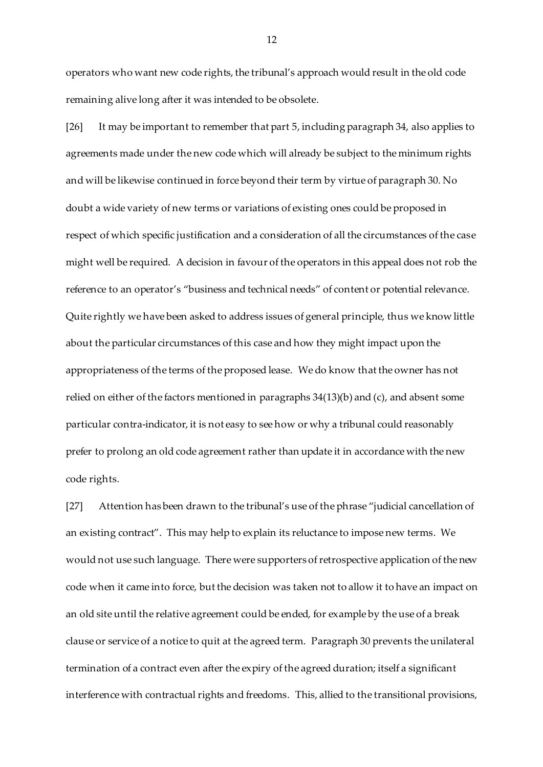operators who want new code rights, the tribunal's approach would result in the old code remaining alive long after it was intended to be obsolete.

[26] It may be important to remember that part 5, including paragraph 34, also applies to agreements made under the new code which will already be subject to the minimum rights and will be likewise continued in force beyond their term by virtue of paragraph 30. No doubt a wide variety of new terms or variations of existing ones could be proposed in respect of which specific justification and a consideration of all the circumstances of the case might well be required. A decision in favour of the operators in this appeal does not rob the reference to an operator's "business and technical needs" of content or potential relevance. Quite rightly we have been asked to address issues of general principle, thus we know little about the particular circumstances of this case and how they might impact upon the appropriateness of the terms of the proposed lease. We do know that the owner has not relied on either of the factors mentioned in paragraphs 34(13)(b) and (c), and absent some particular contra-indicator, it is not easy to see how or why a tribunal could reasonably prefer to prolong an old code agreement rather than update it in accordance with the new code rights.

[27] Attention has been drawn to the tribunal's use of the phrase "judicial cancellation of an existing contract". This may help to explain its reluctance to impose new terms. We would not use such language. There were supporters of retrospective application of the new code when it came into force, but the decision was taken not to allow it to have an impact on an old site until the relative agreement could be ended, for example by the use of a break clause or service of a notice to quit at the agreed term. Paragraph 30 prevents the unilateral termination of a contract even after the expiry of the agreed duration; itself a significant interference with contractual rights and freedoms. This, allied to the transitional provisions,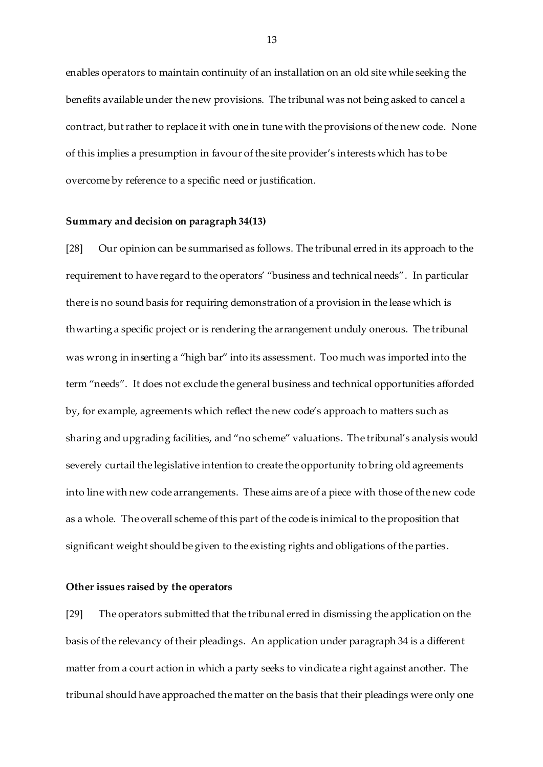enables operators to maintain continuity of an installation on an old site while seeking the benefits available under the new provisions. The tribunal was not being asked to cancel a contract, but rather to replace it with one in tune with the provisions of the new code. None of this implies a presumption in favour of the site provider's interests which has to be overcome by reference to a specific need or justification.

#### **Summary and decision on paragraph 34(13)**

[28] Our opinion can be summarised as follows. The tribunal erred in its approach to the requirement to have regard to the operators' "business and technical needs". In particular there is no sound basis for requiring demonstration of a provision in the lease which is thwarting a specific project or is rendering the arrangement unduly onerous. The tribunal was wrong in inserting a "high bar" into its assessment. Too much was imported into the term "needs". It does not exclude the general business and technical opportunities afforded by, for example, agreements which reflect the new code's approach to matters such as sharing and upgrading facilities, and "no scheme" valuations. The tribunal's analysis would severely curtail the legislative intention to create the opportunity to bring old agreements into line with new code arrangements. These aims are of a piece with those of the new code as a whole. The overall scheme of this part of the code is inimical to the proposition that significant weight should be given to the existing rights and obligations of the parties.

#### **Other issues raised by the operators**

[29] The operators submitted that the tribunal erred in dismissing the application on the basis of the relevancy of their pleadings. An application under paragraph 34 is a different matter from a court action in which a party seeks to vindicate a right against another. The tribunal should have approached the matter on the basis that their pleadings were only one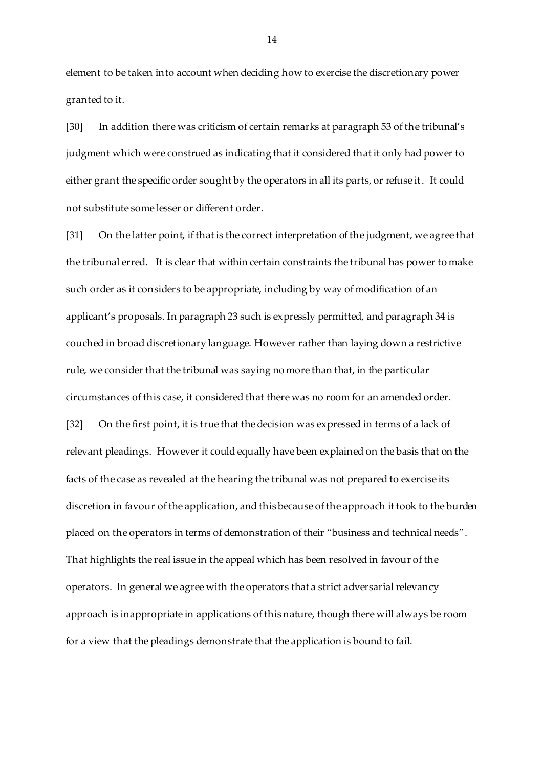element to be taken into account when deciding how to exercise the discretionary power granted to it.

[30] In addition there was criticism of certain remarks at paragraph 53 of the tribunal's judgment which were construed as indicating that it considered that it only had power to either grant the specific order sought by the operators in all its parts, or refuse it. It could not substitute some lesser or different order.

[31] On the latter point, if that is the correct interpretation of the judgment, we agree that the tribunal erred. It is clear that within certain constraints the tribunal has power to make such order as it considers to be appropriate, including by way of modification of an applicant's proposals. In paragraph 23 such is expressly permitted, and paragraph 34 is couched in broad discretionary language. However rather than laying down a restrictive rule, we consider that the tribunal was saying no more than that, in the particular circumstances of this case, it considered that there was no room for an amended order. [32] On the first point, it is true that the decision was expressed in terms of a lack of relevant pleadings. However it could equally have been explained on the basis that on the facts of the case as revealed at the hearing the tribunal was not prepared to exercise its discretion in favour of the application, and this because of the approach it took to the burden placed on the operators in terms of demonstration of their "business and technical needs". That highlights the real issue in the appeal which has been resolved in favour of the operators. In general we agree with the operators that a strict adversarial relevancy approach is inappropriate in applications of this nature, though there will always be room for a view that the pleadings demonstrate that the application is bound to fail.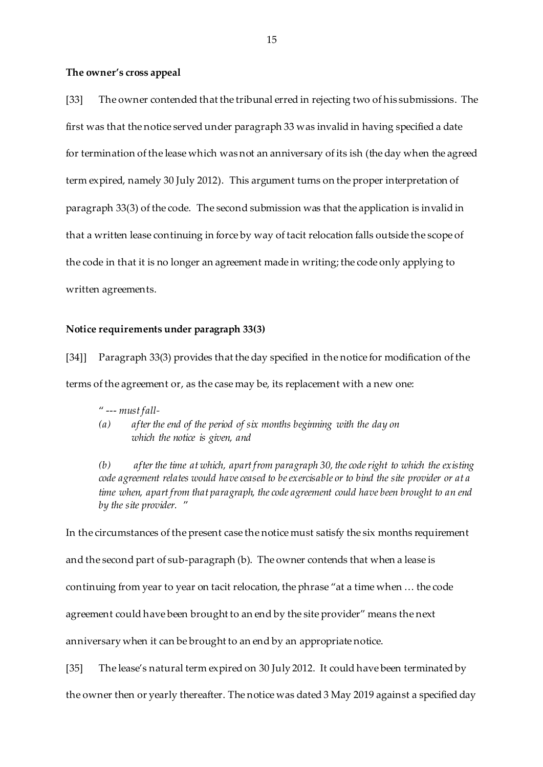#### **The owner's cross appeal**

[33] The owner contended that the tribunal erred in rejecting two of his submissions. The first was that the notice served under paragraph 33 was invalid in having specified a date for termination of the lease which was not an anniversary of its ish (the day when the agreed term expired, namely 30 July 2012). This argument turns on the proper interpretation of paragraph 33(3) of the code. The second submission was that the application is invalid in that a written lease continuing in force by way of tacit relocation falls outside the scope of the code in that it is no longer an agreement made in writing; the code only applying to written agreements.

#### **Notice requirements under paragraph 33(3)**

[34]] Paragraph 33(3) provides that the day specified in the notice for modification of the terms of the agreement or, as the case may be, its replacement with a new one:

- " --- *must fall-*
- *(a) after the end of the period of six months beginning with the day on which the notice is given, and*

*(b) after the time at which, apart from paragraph 30, the code right to which the existing code agreement relates would have ceased to be exercisable or to bind the site provider or at a time when, apart from that paragraph, the code agreement could have been brought to an end by the site provider.* "

In the circumstances of the present case the notice must satisfy the six months requirement and the second part of sub-paragraph (b). The owner contends that when a lease is continuing from year to year on tacit relocation, the phrase "at a time when … the code agreement could have been brought to an end by the site provider" means the next anniversary when it can be brought to an end by an appropriate notice.

[35] The lease's natural term expired on 30 July 2012. It could have been terminated by

the owner then or yearly thereafter. The notice was dated 3 May 2019 against a specified day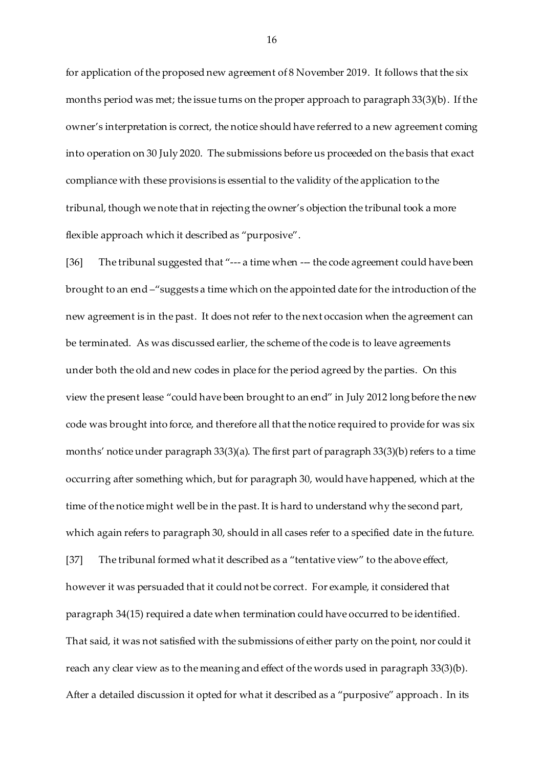for application of the proposed new agreement of 8 November 2019. It follows that the six months period was met; the issue turns on the proper approach to paragraph 33(3)(b). If the owner's interpretation is correct, the notice should have referred to a new agreement coming into operation on 30 July 2020. The submissions before us proceeded on the basis that exact compliance with these provisions is essential to the validity of the application to the tribunal, though we note that in rejecting the owner's objection the tribunal took a more flexible approach which it described as "purposive".

[36] The tribunal suggested that "--- a time when --- the code agreement could have been brought to an end –"suggests a time which on the appointed date for the introduction of the new agreement is in the past. It does not refer to the next occasion when the agreement can be terminated. As was discussed earlier, the scheme of the code is to leave agreements under both the old and new codes in place for the period agreed by the parties. On this view the present lease "could have been brought to an end" in July 2012 long before the new code was brought into force, and therefore all that the notice required to provide for was six months' notice under paragraph 33(3)(a). The first part of paragraph 33(3)(b) refers to a time occurring after something which, but for paragraph 30, would have happened, which at the time of the notice might well be in the past. It is hard to understand why the second part, which again refers to paragraph 30, should in all cases refer to a specified date in the future. [37] The tribunal formed what it described as a "tentative view" to the above effect, however it was persuaded that it could not be correct. For example, it considered that paragraph 34(15) required a date when termination could have occurred to be identified. That said, it was not satisfied with the submissions of either party on the point, nor could it reach any clear view as to the meaning and effect of the words used in paragraph 33(3)(b). After a detailed discussion it opted for what it described as a "purposive" approach. In its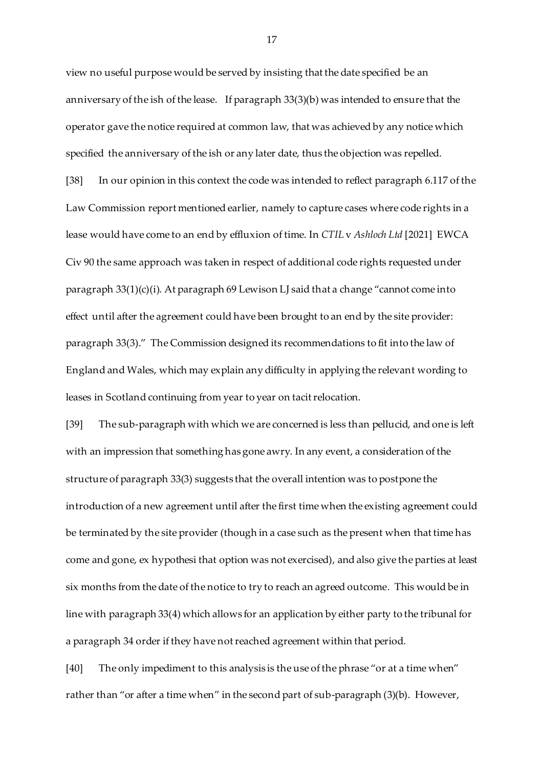view no useful purpose would be served by insisting that the date specified be an anniversary of the ish of the lease. If paragraph 33(3)(b) was intended to ensure that the operator gave the notice required at common law, that was achieved by any notice which specified the anniversary of the ish or any later date, thus the objection was repelled. [38] In our opinion in this context the code was intended to reflect paragraph 6.117 of the Law Commission report mentioned earlier, namely to capture cases where code rights in a lease would have come to an end by effluxion of time. In *CTIL* v *Ashloch Ltd* [2021] EWCA Civ 90 the same approach was taken in respect of additional code rights requested under paragraph 33(1)(c)(i). At paragraph 69 Lewison LJ said that a change "cannot come into effect until after the agreement could have been brought to an end by the site provider: paragraph 33(3)." The Commission designed its recommendations to fit into the law of England and Wales, which may explain any difficulty in applying the relevant wording to leases in Scotland continuing from year to year on tacit relocation.

[39] The sub-paragraph with which we are concerned is less than pellucid, and one is left with an impression that something has gone awry. In any event, a consideration of the structure of paragraph 33(3) suggests that the overall intention was to postpone the introduction of a new agreement until after the first time when the existing agreement could be terminated by the site provider (though in a case such as the present when that time has come and gone, ex hypothesi that option was not exercised), and also give the parties at least six months from the date of the notice to try to reach an agreed outcome. This would be in line with paragraph 33(4) which allows for an application by either party to the tribunal for a paragraph 34 order if they have not reached agreement within that period.

[40] The only impediment to this analysis is the use of the phrase "or at a time when" rather than "or after a time when" in the second part of sub-paragraph (3)(b). However,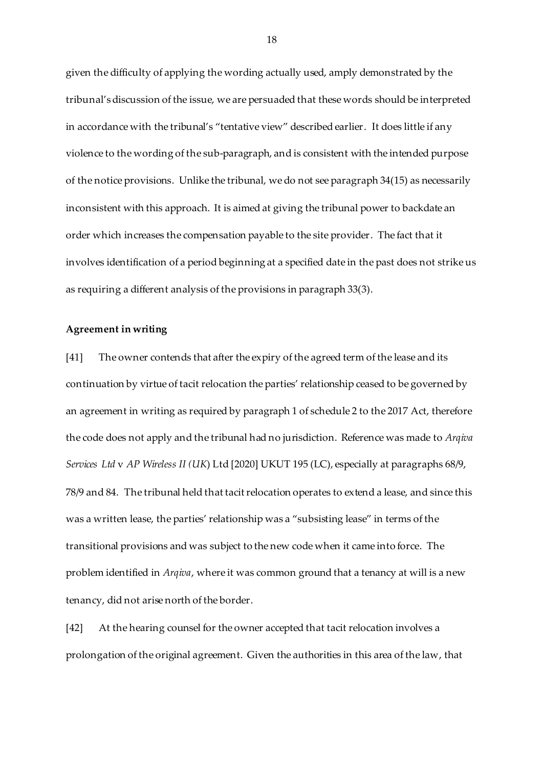given the difficulty of applying the wording actually used, amply demonstrated by the tribunal's discussion of the issue, we are persuaded that these words should be interpreted in accordance with the tribunal's "tentative view" described earlier. It does little if any violence to the wording of the sub-paragraph, and is consistent with the intended purpose of the notice provisions. Unlike the tribunal, we do not see paragraph 34(15) as necessarily inconsistent with this approach. It is aimed at giving the tribunal power to backdate an order which increases the compensation payable to the site provider. The fact that it involves identification of a period beginning at a specified date in the past does not strike us as requiring a different analysis of the provisions in paragraph 33(3).

#### **Agreement in writing**

[41] The owner contends that after the expiry of the agreed term of the lease and its continuation by virtue of tacit relocation the parties' relationship ceased to be governed by an agreement in writing as required by paragraph 1 of schedule 2 to the 2017 Act, therefore the code does not apply and the tribunal had no jurisdiction. Reference was made to *Arqiva Services Ltd* v *AP Wireless II (UK*) Ltd [2020] UKUT 195 (LC), especially at paragraphs 68/9, 78/9 and 84. The tribunal held that tacit relocation operates to extend a lease, and since this was a written lease, the parties' relationship was a "subsisting lease" in terms of the transitional provisions and was subject to the new code when it came into force. The problem identified in *Arqiva*, where it was common ground that a tenancy at will is a new tenancy, did not arise north of the border.

[42] At the hearing counsel for the owner accepted that tacit relocation involves a prolongation of the original agreement. Given the authorities in this area of the law, that